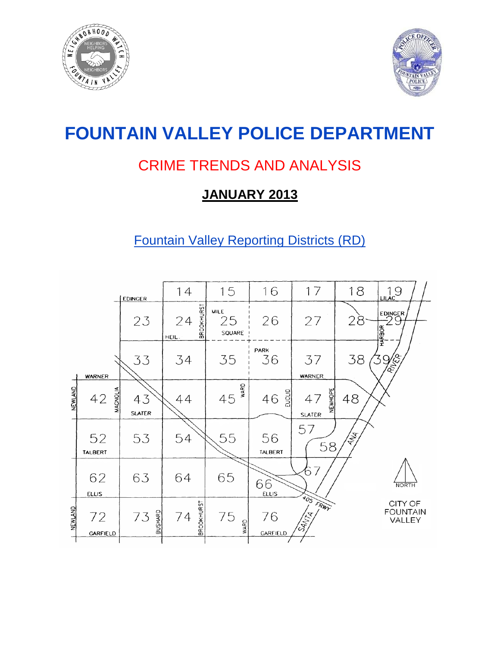



# **FOUNTAIN VALLEY POLICE DEPARTMENT**

## CRIME TRENDS AND ANALYSIS

## **JANUARY 2013**

## Fountain Valley Reporting Districts (RD)

|                |                       | <b>EDINGER</b>      | 14                               | 15                          | 16                 | 17                             | 18 | 19                                   |
|----------------|-----------------------|---------------------|----------------------------------|-----------------------------|--------------------|--------------------------------|----|--------------------------------------|
|                |                       | 23                  | <b>BROOKHURST</b><br>24<br>HEIL. | <b>MILE</b><br>25<br>SQUARE | 26                 | 27                             | 28 | EDINGER<br><b>HARBOR</b>             |
|                | <b>WARNER</b>         | 33                  | 34                               | 35                          | PARK<br>36         | 37<br>WARNER                   | 38 | <b>REFERENCE</b>                     |
| NEWLAND        | <b>MAGNOLIA</b><br>42 | 43<br><b>SLATER</b> | 44                               | WARD<br>45                  | EUCLID<br>46       | NEWHOPE<br>47<br><b>SLATER</b> | 48 |                                      |
|                | 52<br>TALBERT         | 53                  | 54                               | 55                          | 56<br>TALBERT      | 57<br>58                       | 含  |                                      |
|                | 62<br><b>ELLIS</b>    | 63                  | 64                               | 65                          | 66<br><b>ELLIS</b> | 7<br>6                         |    | <b>NORTH</b>                         |
| <b>NEWLAND</b> | 72<br><b>GARFIELD</b> | BUSHARD<br>73       | <b>BROOKHURST</b><br>74          | 75<br>WARD                  | 76<br>GARFIELD     | FRWY<br><b>CANTA</b>           |    | CITY OF<br><b>FOUNTAIN</b><br>VALLEY |
|                |                       |                     |                                  |                             |                    |                                |    |                                      |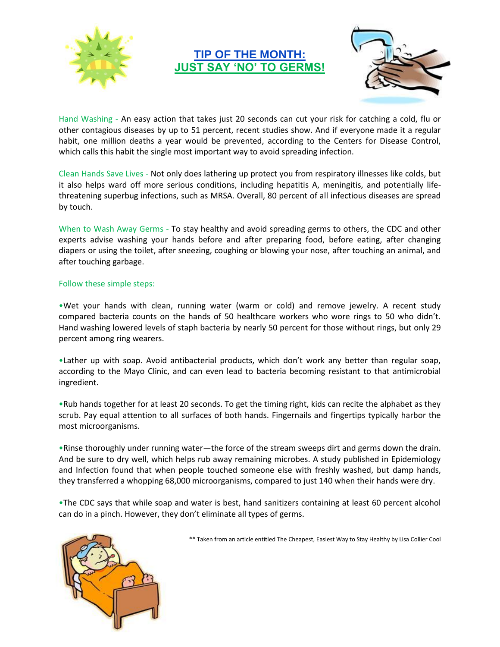

## **TIP OF THE MONTH: JUST SAY 'NO' TO GERMS!**



Hand Washing - An easy action that takes just 20 seconds can cut your risk for catching a cold, flu or other contagious diseases by up to 51 percent, recent studies show. And if everyone made it a regular habit, one million deaths a year would be prevented, according to the Centers for Disease Control, which calls this habit the single most important way to avoid spreading infection.

Clean Hands Save Lives - Not only does lathering up protect you from respiratory illnesses like colds, but it also helps ward off more serious conditions, including hepatitis A, meningitis, and potentially lifethreatening superbug infections, such as MRSA. Overall, 80 percent of all infectious diseases are spread by touch.

When to Wash Away Germs - To stay healthy and avoid spreading germs to others, the CDC and other experts advise washing your hands before and after preparing food, before eating, after changing diapers or using the toilet, after sneezing, coughing or blowing your nose, after touching an animal, and after touching garbage.

#### Follow these simple steps:

•Wet your hands with clean, running water (warm or cold) and remove jewelry. A recent study compared bacteria counts on the hands of 50 healthcare workers who wore rings to 50 who didn't. Hand washing lowered levels of staph bacteria by nearly 50 percent for those without rings, but only 29 percent among ring wearers.

•Lather up with soap. Avoid antibacterial products, which don't work any better than regular soap, according to the Mayo Clinic, and can even lead to bacteria becoming resistant to that antimicrobial ingredient.

•Rub hands together for at least 20 seconds. To get the timing right, kids can recite the alphabet as they scrub. Pay equal attention to all surfaces of both hands. Fingernails and fingertips typically harbor the most microorganisms.

•Rinse thoroughly under running water—the force of the stream sweeps dirt and germs down the drain. And be sure to dry well, which helps rub away remaining microbes. A study published in Epidemiology and Infection found that when people touched someone else with freshly washed, but damp hands, they transferred a whopping 68,000 microorganisms, compared to just 140 when their hands were dry.

•The CDC says that while soap and water is best, hand sanitizers containing at least 60 percent alcohol can do in a pinch. However, they don't eliminate all types of germs.



\*\* Taken from an article entitled The Cheapest, Easiest Way to Stay Healthy by Lisa Collier Cool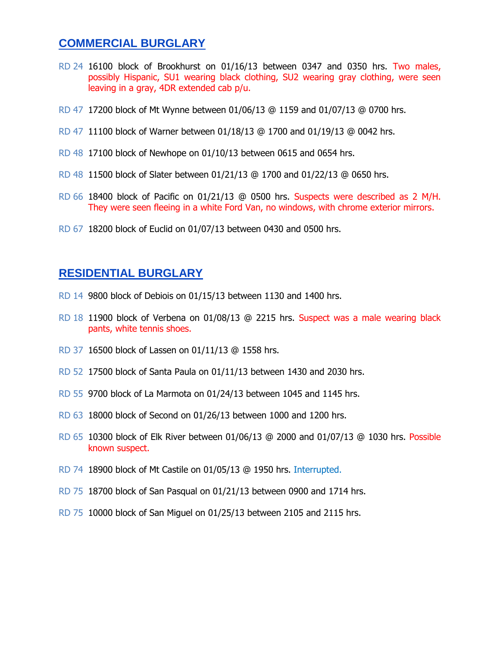## **COMMERCIAL BURGLARY**

- RD 24 16100 block of Brookhurst on 01/16/13 between 0347 and 0350 hrs. Two males, possibly Hispanic, SU1 wearing black clothing, SU2 wearing gray clothing, were seen leaving in a gray, 4DR extended cab p/u.
- RD 47 17200 block of Mt Wynne between 01/06/13 @ 1159 and 01/07/13 @ 0700 hrs.
- RD 47 11100 block of Warner between 01/18/13 @ 1700 and 01/19/13 @ 0042 hrs.
- RD 48 17100 block of Newhope on 01/10/13 between 0615 and 0654 hrs.
- RD 48 11500 block of Slater between 01/21/13 @ 1700 and 01/22/13 @ 0650 hrs.
- RD 66 18400 block of Pacific on 01/21/13 @ 0500 hrs. Suspects were described as 2 M/H. They were seen fleeing in a white Ford Van, no windows, with chrome exterior mirrors.
- RD 67 18200 block of Euclid on 01/07/13 between 0430 and 0500 hrs.

### **RESIDENTIAL BURGLARY**

- RD 14 9800 block of Debiois on 01/15/13 between 1130 and 1400 hrs.
- RD 18 11900 block of Verbena on 01/08/13 @ 2215 hrs. Suspect was a male wearing black pants, white tennis shoes.
- RD 37 16500 block of Lassen on 01/11/13 @ 1558 hrs.
- RD 52 17500 block of Santa Paula on 01/11/13 between 1430 and 2030 hrs.
- RD 55 9700 block of La Marmota on 01/24/13 between 1045 and 1145 hrs.
- RD 63 18000 block of Second on 01/26/13 between 1000 and 1200 hrs.
- RD 65 10300 block of Elk River between 01/06/13 @ 2000 and 01/07/13 @ 1030 hrs. Possible known suspect.
- RD 74 18900 block of Mt Castile on 01/05/13 @ 1950 hrs. Interrupted.
- RD 75 18700 block of San Pasqual on 01/21/13 between 0900 and 1714 hrs.
- RD 75 10000 block of San Miguel on 01/25/13 between 2105 and 2115 hrs.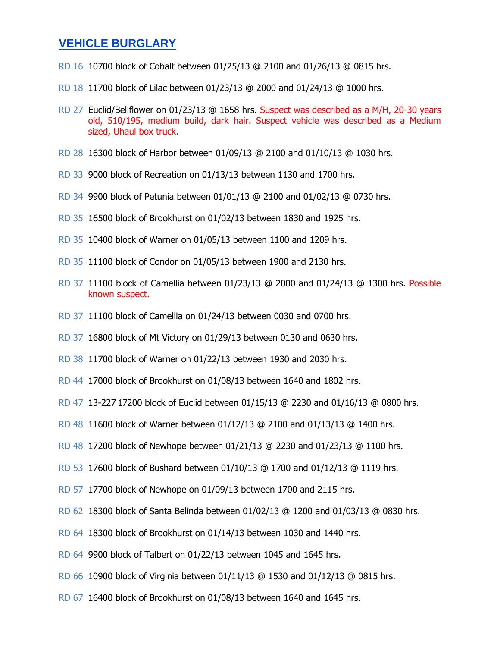### **VEHICLE BURGLARY**

- RD 16 10700 block of Cobalt between 01/25/13 @ 2100 and 01/26/13 @ 0815 hrs.
- RD 18 11700 block of Lilac between 01/23/13 @ 2000 and 01/24/13 @ 1000 hrs.
- RD 27 Euclid/Bellflower on 01/23/13 @ 1658 hrs. Suspect was described as a M/H, 20-30 years old, 510/195, medium build, dark hair. Suspect vehicle was described as a Medium sized, Uhaul box truck.
- RD 28 16300 block of Harbor between 01/09/13 @ 2100 and 01/10/13 @ 1030 hrs.
- RD 33 9000 block of Recreation on 01/13/13 between 1130 and 1700 hrs.
- RD 34 9900 block of Petunia between 01/01/13 @ 2100 and 01/02/13 @ 0730 hrs.
- RD 35 16500 block of Brookhurst on 01/02/13 between 1830 and 1925 hrs.
- RD 35 10400 block of Warner on 01/05/13 between 1100 and 1209 hrs.
- RD 35 11100 block of Condor on 01/05/13 between 1900 and 2130 hrs.
- RD 37 11100 block of Camellia between 01/23/13 @ 2000 and 01/24/13 @ 1300 hrs. Possible known suspect.
- RD 37 11100 block of Camellia on 01/24/13 between 0030 and 0700 hrs.
- RD 37 16800 block of Mt Victory on 01/29/13 between 0130 and 0630 hrs.
- RD 38 11700 block of Warner on 01/22/13 between 1930 and 2030 hrs.
- RD 44 17000 block of Brookhurst on 01/08/13 between 1640 and 1802 hrs.
- RD 47 13-227 17200 block of Euclid between 01/15/13 @ 2230 and 01/16/13 @ 0800 hrs.
- RD 48 11600 block of Warner between 01/12/13 @ 2100 and 01/13/13 @ 1400 hrs.
- RD 48 17200 block of Newhope between 01/21/13 @ 2230 and 01/23/13 @ 1100 hrs.
- RD 53 17600 block of Bushard between 01/10/13 @ 1700 and 01/12/13 @ 1119 hrs.
- RD 57 17700 block of Newhope on 01/09/13 between 1700 and 2115 hrs.
- RD 62 18300 block of Santa Belinda between 01/02/13 @ 1200 and 01/03/13 @ 0830 hrs.
- RD 64 18300 block of Brookhurst on 01/14/13 between 1030 and 1440 hrs.
- RD 64 9900 block of Talbert on 01/22/13 between 1045 and 1645 hrs.
- RD 66 10900 block of Virginia between 01/11/13 @ 1530 and 01/12/13 @ 0815 hrs.
- RD 67 16400 block of Brookhurst on 01/08/13 between 1640 and 1645 hrs.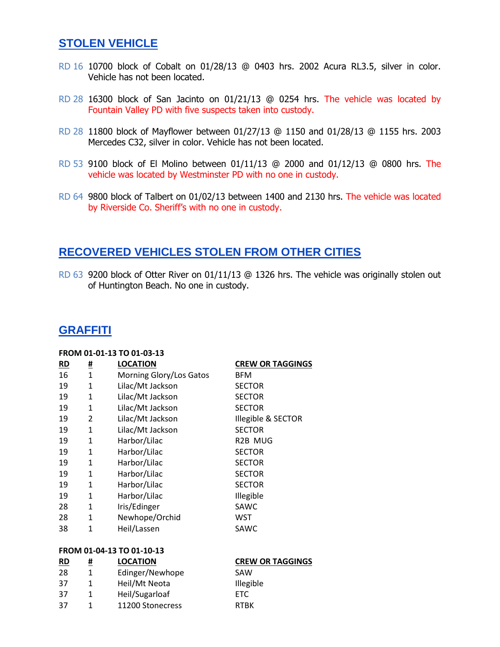## **STOLEN VEHICLE**

- RD 16 10700 block of Cobalt on 01/28/13 @ 0403 hrs. 2002 Acura RL3.5, silver in color. Vehicle has not been located.
- RD 28 16300 block of San Jacinto on 01/21/13 @ 0254 hrs. The vehicle was located by Fountain Valley PD with five suspects taken into custody.
- RD 28 11800 block of Mayflower between 01/27/13 @ 1150 and 01/28/13 @ 1155 hrs. 2003 Mercedes C32, silver in color. Vehicle has not been located.
- RD 53 9100 block of El Molino between 01/11/13 @ 2000 and 01/12/13 @ 0800 hrs. The vehicle was located by Westminster PD with no one in custody.
- RD 64 9800 block of Talbert on 01/02/13 between 1400 and 2130 hrs. The vehicle was located by Riverside Co. Sheriff's with no one in custody.

### **RECOVERED VEHICLES STOLEN FROM OTHER CITIES**

RD 63 9200 block of Otter River on 01/11/13 @ 1326 hrs. The vehicle was originally stolen out of Huntington Beach. No one in custody.

## **GRAFFITI**

#### **FROM 01-01-13 TO 01-03-13**

**FROM 01-04-13 TO 01-10-13**

| RD | <u>#</u>     | <b>LOCATION</b>         | <b>CREW OR TAGGINGS</b> |
|----|--------------|-------------------------|-------------------------|
| 16 | $\mathbf{1}$ | Morning Glory/Los Gatos | <b>BFM</b>              |
| 19 | 1            | Lilac/Mt Jackson        | <b>SECTOR</b>           |
| 19 | 1            | Lilac/Mt Jackson        | <b>SECTOR</b>           |
| 19 | 1            | Lilac/Mt Jackson        | <b>SECTOR</b>           |
| 19 | 2            | Lilac/Mt Jackson        | Illegible & SECTOR      |
| 19 | $\mathbf{1}$ | Lilac/Mt Jackson        | <b>SECTOR</b>           |
| 19 | 1            | Harbor/Lilac            | R <sub>2</sub> B MUG    |
| 19 | 1            | Harbor/Lilac            | <b>SECTOR</b>           |
| 19 | 1            | Harbor/Lilac            | <b>SECTOR</b>           |
| 19 | 1            | Harbor/Lilac            | <b>SECTOR</b>           |
| 19 | 1            | Harbor/Lilac            | <b>SECTOR</b>           |
| 19 | 1            | Harbor/Lilac            | Illegible               |
| 28 | 1            | Iris/Edinger            | SAWC                    |
| 28 | 1            | Newhope/Orchid          | WST                     |
| 38 | 1            | Heil/Lassen             | SAWC                    |
|    |              |                         |                         |

| $\underline{\mathsf{RD}}$ | # | <b>LOCATION</b>  | <b>CREW OR TAGGINGS</b> |
|---------------------------|---|------------------|-------------------------|
| 28                        |   | Edinger/Newhope  | SAW                     |
| -37                       |   | Heil/Mt Neota    | Illegible               |
| -37                       |   | Heil/Sugarloaf   | FTC.                    |
| -37                       |   | 11200 Stonecress | <b>RTBK</b>             |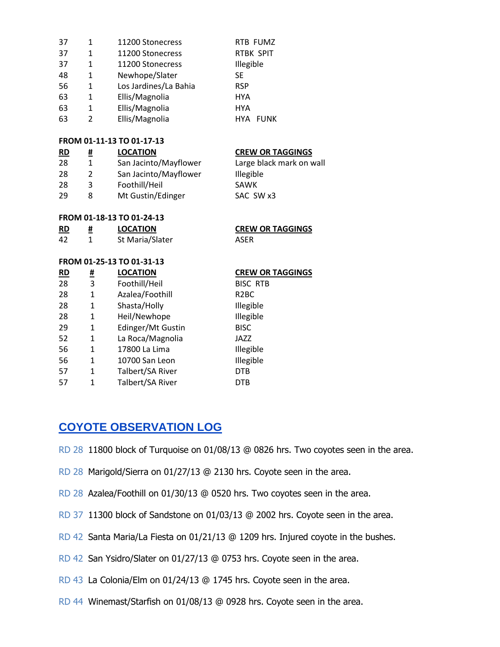| 37 | 1 | 11200 Stonecress      | RTB FUMZ                  |
|----|---|-----------------------|---------------------------|
| 37 | 1 | 11200 Stonecress      | <b>RTBK SPIT</b>          |
| 37 | 1 | 11200 Stonecress      | Illegible                 |
| 48 | 1 | Newhope/Slater        | SE.                       |
| 56 | 1 | Los Jardines/La Bahia | <b>RSP</b>                |
| 63 | 1 | Ellis/Magnolia        | <b>HYA</b>                |
| 63 | 1 | Ellis/Magnolia        | <b>HYA</b>                |
| 63 | 2 | Ellis/Magnolia        | <b>HYA</b><br><b>FUNK</b> |

#### **FROM 01-11-13 TO 01-17-13**

| $\underline{\mathsf{RD}}$ | # | <b>LOCATION</b>       | <b>CREW OR TAGGINGS</b>  |
|---------------------------|---|-----------------------|--------------------------|
| 28                        |   | San Jacinto/Mayflower | Large black mark on wall |
| 28                        | 2 | San Jacinto/Mayflower | Illegible                |
| 28                        | 3 | Foothill/Heil         | SAWK                     |
| 29                        | 8 | Mt Gustin/Edinger     | SAC SW x3                |

#### **FROM 01-18-13 TO 01-24-13**

| <b>RD</b> | <b>LOCATION</b> | <b>CREW</b> |
|-----------|-----------------|-------------|
| 42        | St Maria/Slater | ASFR        |

#### **FROM 01-25-13 TO 01-31-13**

| <b>RD</b> | <u>#</u> | <b>LOCATION</b>   | <b>CREV</b>       |
|-----------|----------|-------------------|-------------------|
| 28        | 3        | Foothill/Heil     | <b>BISC</b>       |
| 28        | 1        | Azalea/Foothill   | R <sub>2</sub> BC |
| 28        | 1        | Shasta/Holly      | Illegil           |
| 28        | 1        | Heil/Newhope      | Illegil           |
| 29        | 1        | Edinger/Mt Gustin | <b>BISC</b>       |
| 52        | 1        | La Roca/Magnolia  | JAZZ              |
| 56        | 1        | 17800 La Lima     | Illegil           |
| 56        | 1        | 10700 San Leon    | Illegil           |
| 57        | 1        | Talbert/SA River  | <b>DTB</b>        |
| 57        | 1        | Talbert/SA River  | <b>DTB</b>        |

#### **R COR TAGGINGS**

#### **CREW OR TAGGINGS**

BISC RTB **Illegible Illegible** Illegible Illegible

## **COYOTE OBSERVATION LOG**

- RD 28 11800 block of Turquoise on 01/08/13 @ 0826 hrs. Two coyotes seen in the area.
- RD 28 Marigold/Sierra on 01/27/13 @ 2130 hrs. Coyote seen in the area.
- RD 28 Azalea/Foothill on 01/30/13 @ 0520 hrs. Two coyotes seen in the area.
- RD 37 11300 block of Sandstone on 01/03/13 @ 2002 hrs. Coyote seen in the area.
- RD 42 Santa Maria/La Fiesta on 01/21/13 @ 1209 hrs. Injured coyote in the bushes.
- RD 42 San Ysidro/Slater on 01/27/13 @ 0753 hrs. Coyote seen in the area.
- RD 43 La Colonia/Elm on 01/24/13 @ 1745 hrs. Coyote seen in the area.
- RD 44 Winemast/Starfish on 01/08/13 @ 0928 hrs. Coyote seen in the area.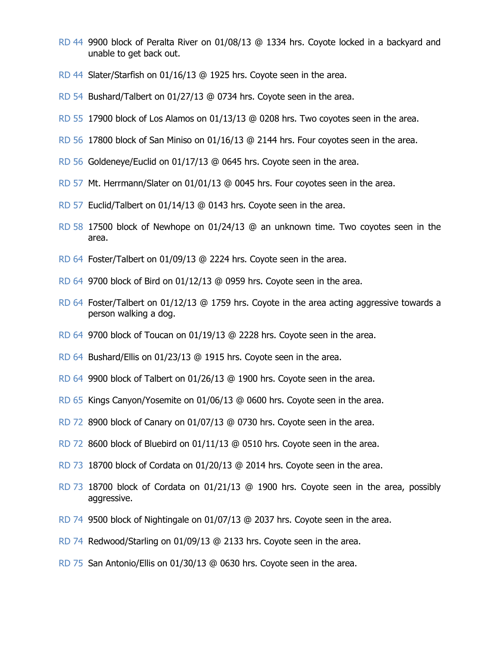- RD 44 9900 block of Peralta River on 01/08/13 @ 1334 hrs. Coyote locked in a backyard and unable to get back out.
- RD 44 Slater/Starfish on 01/16/13 @ 1925 hrs. Coyote seen in the area.
- RD 54 Bushard/Talbert on 01/27/13 @ 0734 hrs. Coyote seen in the area.
- RD 55 17900 block of Los Alamos on 01/13/13 @ 0208 hrs. Two coyotes seen in the area.
- RD 56 17800 block of San Miniso on 01/16/13 @ 2144 hrs. Four coyotes seen in the area.
- RD 56 Goldeneye/Euclid on 01/17/13 @ 0645 hrs. Coyote seen in the area.
- RD 57 Mt. Herrmann/Slater on 01/01/13 @ 0045 hrs. Four coyotes seen in the area.
- RD 57 Euclid/Talbert on 01/14/13 @ 0143 hrs. Coyote seen in the area.
- RD 58 17500 block of Newhope on 01/24/13 @ an unknown time. Two coyotes seen in the area.
- RD 64 Foster/Talbert on 01/09/13 @ 2224 hrs. Coyote seen in the area.
- RD 64 9700 block of Bird on 01/12/13 @ 0959 hrs. Coyote seen in the area.
- RD 64 Foster/Talbert on 01/12/13 @ 1759 hrs. Coyote in the area acting aggressive towards a person walking a dog.
- RD 64 9700 block of Toucan on 01/19/13 @ 2228 hrs. Coyote seen in the area.
- RD 64 Bushard/Ellis on 01/23/13 @ 1915 hrs. Coyote seen in the area.
- RD 64 9900 block of Talbert on 01/26/13 @ 1900 hrs. Coyote seen in the area.
- RD 65 Kings Canyon/Yosemite on 01/06/13 @ 0600 hrs. Coyote seen in the area.
- RD 72 8900 block of Canary on 01/07/13 @ 0730 hrs. Coyote seen in the area.
- RD 72 8600 block of Bluebird on 01/11/13 @ 0510 hrs. Coyote seen in the area.
- RD 73 18700 block of Cordata on 01/20/13 @ 2014 hrs. Coyote seen in the area.
- RD 73 18700 block of Cordata on 01/21/13 @ 1900 hrs. Coyote seen in the area, possibly aggressive.
- RD 74 9500 block of Nightingale on 01/07/13 @ 2037 hrs. Coyote seen in the area.
- RD 74 Redwood/Starling on 01/09/13 @ 2133 hrs. Coyote seen in the area.
- RD 75 San Antonio/Ellis on 01/30/13 @ 0630 hrs. Coyote seen in the area.